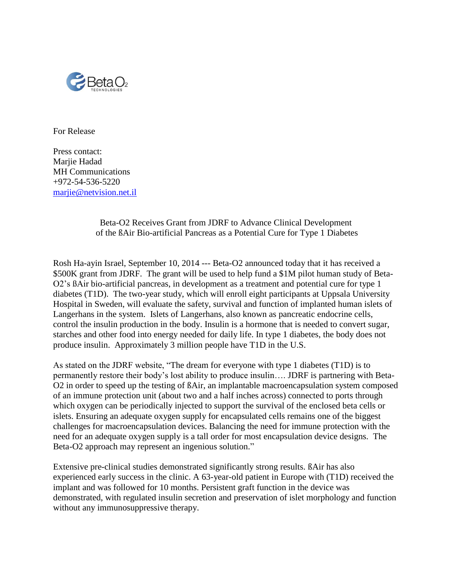

For Release

Press contact: Marjie Hadad MH Communications +972-54-536-5220 [marjie@netvision.net.il](mailto:marjie@netvision.net.il)

## Beta-O2 Receives Grant from JDRF to Advance Clinical Development of the ßAir Bio-artificial Pancreas as a Potential Cure for Type 1 Diabetes

Rosh Ha-ayin Israel, September 10, 2014 --- Beta-O2 announced today that it has received a \$500K grant from JDRF. The grant will be used to help fund a \$1M pilot human study of Beta-O2's ßAir bio-artificial pancreas, in development as a treatment and potential cure for type 1 diabetes (T1D). The two-year study, which will enroll eight participants at Uppsala University Hospital in Sweden, will evaluate the safety, survival and function of implanted human islets of Langerhans in the system. Islets of Langerhans, also known as pancreatic endocrine cells, control the insulin production in the body. Insulin is a hormone that is needed to convert sugar, starches and other food into energy needed for daily life. In type 1 diabetes, the body does not produce insulin. Approximately 3 million people have T1D in the U.S.

As stated on the JDRF website, "The dream for everyone with type 1 diabetes (T1D) is to permanently restore their body's lost ability to produce insulin…. JDRF is partnering with Beta-O2 in order to speed up the testing of ßAir, an implantable macroencapsulation system composed of an immune protection unit (about two and a half inches across) connected to ports through which oxygen can be periodically injected to support the survival of the enclosed beta cells or islets. Ensuring an adequate oxygen supply for encapsulated cells remains one of the biggest challenges for macroencapsulation devices. Balancing the need for immune protection with the need for an adequate oxygen supply is a tall order for most encapsulation device designs. The Beta-O2 approach may represent an ingenious solution."

Extensive pre-clinical studies demonstrated significantly strong results. ßAir has also experienced early success in the clinic. A 63-year-old patient in Europe with (T1D) received the implant and was followed for 10 months. Persistent graft function in the device was demonstrated, with regulated insulin secretion and preservation of islet morphology and function without any immunosuppressive therapy.